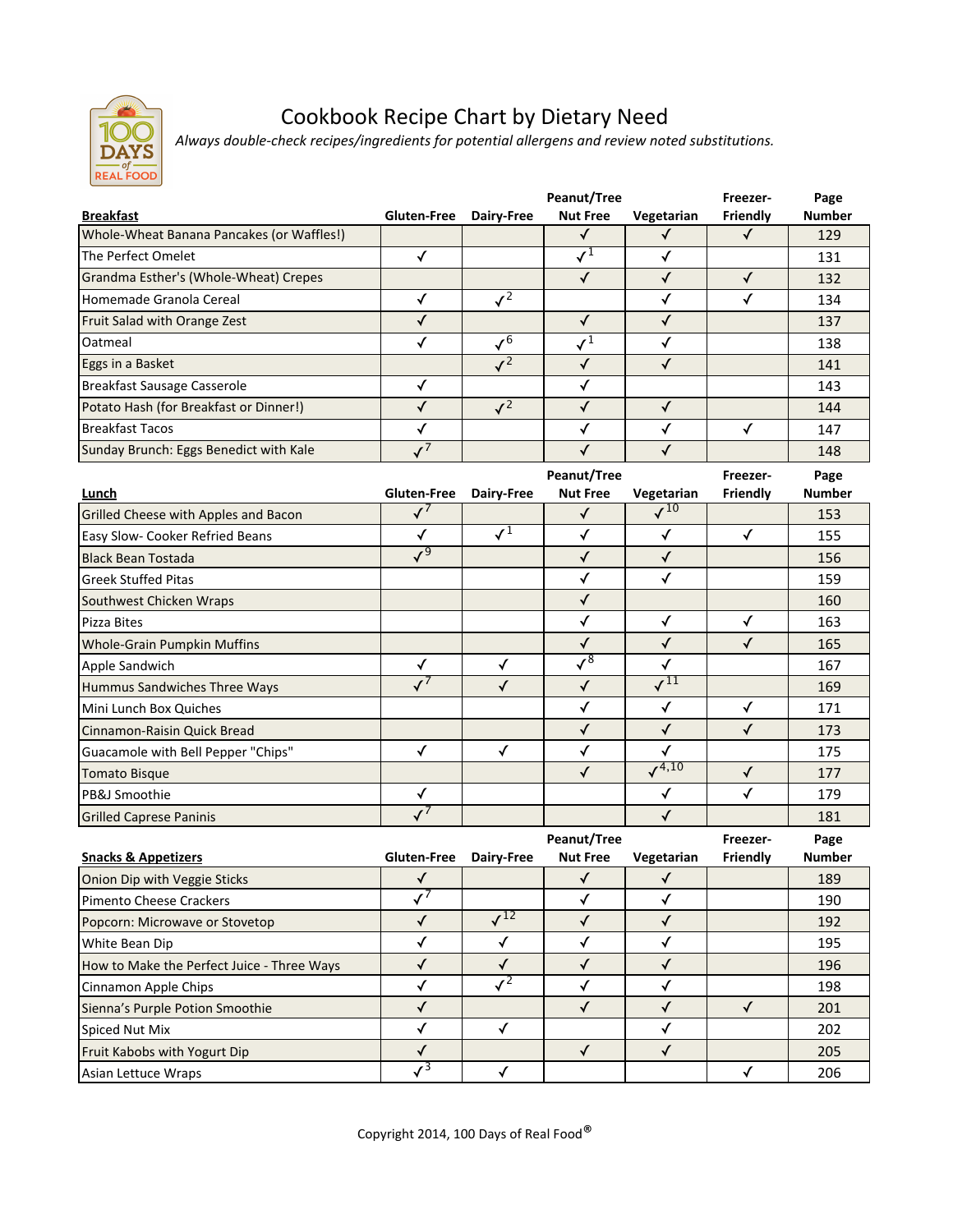

## Cookbook Recipe Chart by Dietary Need

*Always double-check recipes/ingredients for potential allergens and review noted substitutions.*

|                                           |             |                 | Peanut/Tree     |            | Freezer- | Page          |
|-------------------------------------------|-------------|-----------------|-----------------|------------|----------|---------------|
| <b>Breakfast</b>                          | Gluten-Free | Dairy-Free      | <b>Nut Free</b> | Vegetarian | Friendly | <b>Number</b> |
| Whole-Wheat Banana Pancakes (or Waffles!) |             |                 |                 |            |          | 129           |
| The Perfect Omelet                        |             |                 |                 |            |          | 131           |
| Grandma Esther's (Whole-Wheat) Crepes     |             |                 |                 |            |          | 132           |
| Homemade Granola Cereal                   |             | $\mathcal{L}^2$ |                 |            |          | 134           |
| Fruit Salad with Orange Zest              |             |                 |                 |            |          | 137           |
| Oatmeal                                   |             | $\mathcal{L}^6$ |                 |            |          | 138           |
| Eggs in a Basket                          |             | $J^2$           |                 |            |          | 141           |
| Breakfast Sausage Casserole               |             |                 |                 |            |          | 143           |
| Potato Hash (for Breakfast or Dinner!)    |             | $\mathcal{L}^2$ |                 |            |          | 144           |
| Breakfast Tacos                           |             |                 |                 |            |          | 147           |
| Sunday Brunch: Eggs Benedict with Kale    |             |                 |                 |            |          | 148           |

|                                      |              |            | Peanut/Tree                |                               | Freezer- | Page          |
|--------------------------------------|--------------|------------|----------------------------|-------------------------------|----------|---------------|
| Lunch                                | Gluten-Free  | Dairy-Free | <b>Nut Free</b>            | Vegetarian                    | Friendly | <b>Number</b> |
| Grilled Cheese with Apples and Bacon |              |            |                            | $\sqrt{10}$                   |          | 153           |
| Easy Slow- Cooker Refried Beans      | ✓            | $J^1$      |                            |                               |          | 155           |
| <b>Black Bean Tostada</b>            | $\sqrt{9}$   |            | √                          | √                             |          | 156           |
| <b>Greek Stuffed Pitas</b>           |              |            |                            |                               |          | 159           |
| Southwest Chicken Wraps              |              |            |                            |                               |          | 160           |
| Pizza Bites                          |              |            |                            | ✓                             |          | 163           |
| <b>Whole-Grain Pumpkin Muffins</b>   |              |            | √                          |                               |          | 165           |
| Apple Sandwich                       | $\checkmark$ |            | $\overline{\mathcal{S}^8}$ |                               |          | 167           |
| Hummus Sandwiches Three Ways         |              |            | √                          | $\overline{\mathcal{M}}^{11}$ |          | 169           |
| Mini Lunch Box Quiches               |              |            | √                          |                               | √        | 171           |
| Cinnamon-Raisin Quick Bread          |              |            | √                          |                               |          | 173           |
| Guacamole with Bell Pepper "Chips"   | √            |            |                            |                               |          | 175           |
| <b>Tomato Bisque</b>                 |              |            | √                          | $\sqrt{4,10}$                 | √        | 177           |
| PB&J Smoothie                        | ✓            |            |                            |                               |          | 179           |
| <b>Grilled Caprese Paninis</b>       |              |            |                            |                               |          | 181           |

|                                            |                    |            | Peanut/Tree     |            | Freezer- | Page          |
|--------------------------------------------|--------------------|------------|-----------------|------------|----------|---------------|
| <b>Snacks &amp; Appetizers</b>             | <b>Gluten-Free</b> | Dairy-Free | <b>Nut Free</b> | Vegetarian | Friendly | <b>Number</b> |
| Onion Dip with Veggie Sticks               |                    |            |                 |            |          | 189           |
| Pimento Cheese Crackers                    |                    |            |                 |            |          | 190           |
| Popcorn: Microwave or Stovetop             |                    | 12         |                 |            |          | 192           |
| White Bean Dip                             |                    |            |                 |            |          | 195           |
| How to Make the Perfect Juice - Three Ways |                    |            |                 |            |          | 196           |
| Cinnamon Apple Chips                       |                    |            |                 |            |          | 198           |
| Sienna's Purple Potion Smoothie            |                    |            |                 |            |          | 201           |
| Spiced Nut Mix                             |                    |            |                 |            |          | 202           |
| Fruit Kabobs with Yogurt Dip               |                    |            |                 |            |          | 205           |
| Asian Lettuce Wraps                        |                    |            |                 |            |          | 206           |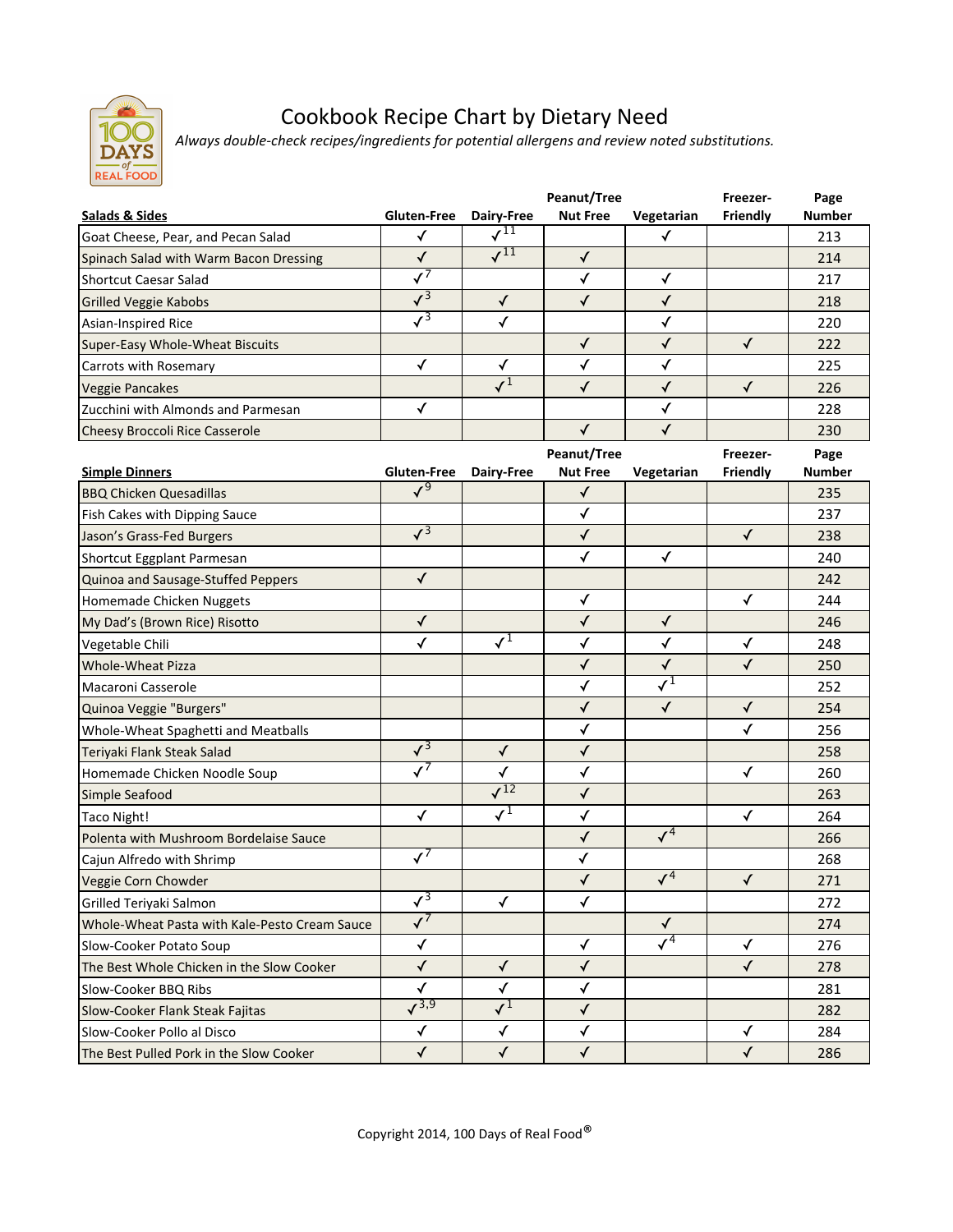

## Cookbook Recipe Chart by Dietary Need

*Always double-check recipes/ingredients for potential allergens and review noted substitutions.*

|                                                                 |                           |                               | Peanut/Tree<br><b>Nut Free</b> |                            | Freezer-             | Page<br><b>Number</b> |
|-----------------------------------------------------------------|---------------------------|-------------------------------|--------------------------------|----------------------------|----------------------|-----------------------|
| <b>Salads &amp; Sides</b><br>Goat Cheese, Pear, and Pecan Salad | Gluten-Free<br>✓          | Dairy-Free<br>$\sqrt{11}$     |                                | Vegetarian<br>✓            | Friendly             | 213                   |
| Spinach Salad with Warm Bacon Dressing                          | $\checkmark$              | $\overline{\mathcal{I}^{11}}$ | $\checkmark$                   |                            |                      | 214                   |
| <b>Shortcut Caesar Salad</b>                                    | $\overline{\checkmark}$   |                               | $\checkmark$                   | $\checkmark$               |                      | 217                   |
|                                                                 | $\sqrt{3}$                | $\checkmark$                  | $\checkmark$                   | $\checkmark$               |                      | 218                   |
| Grilled Veggie Kabobs                                           | $\overline{\checkmark}^3$ | $\checkmark$                  |                                | $\checkmark$               |                      | 220                   |
| Asian-Inspired Rice                                             |                           |                               | $\checkmark$                   | $\checkmark$               | $\checkmark$         | 222                   |
| Super-Easy Whole-Wheat Biscuits<br>Carrots with Rosemary        | $\checkmark$              | $\checkmark$                  | $\checkmark$                   | $\checkmark$               |                      | 225                   |
| <b>Veggie Pancakes</b>                                          |                           | $\overline{\checkmark}^1$     | $\checkmark$                   | $\checkmark$               | $\checkmark$         | 226                   |
| Zucchini with Almonds and Parmesan                              | ✓                         |                               |                                | $\checkmark$               |                      | 228                   |
|                                                                 |                           |                               | $\checkmark$                   | $\checkmark$               |                      |                       |
| Cheesy Broccoli Rice Casserole                                  |                           |                               |                                |                            |                      | 230                   |
| <b>Simple Dinners</b>                                           | <b>Gluten-Free</b>        | Dairy-Free                    | Peanut/Tree<br><b>Nut Free</b> | Vegetarian                 | Freezer-<br>Friendly | Page<br><b>Number</b> |
| <b>BBQ Chicken Quesadillas</b>                                  | $\sqrt{9}$                |                               | ✓                              |                            |                      | 235                   |
| Fish Cakes with Dipping Sauce                                   |                           |                               | $\checkmark$                   |                            |                      | 237                   |
| Jason's Grass-Fed Burgers                                       | $\sqrt{3}$                |                               | $\checkmark$                   |                            | $\checkmark$         | 238                   |
| Shortcut Eggplant Parmesan                                      |                           |                               | ✓                              | $\checkmark$               |                      | 240                   |
| Quinoa and Sausage-Stuffed Peppers                              | $\checkmark$              |                               |                                |                            |                      | 242                   |
| Homemade Chicken Nuggets                                        |                           |                               | $\checkmark$                   |                            | $\checkmark$         | 244                   |
| My Dad's (Brown Rice) Risotto                                   | ✓                         |                               | $\checkmark$                   | $\checkmark$               |                      | 246                   |
| Vegetable Chili                                                 | $\checkmark$              | $\sqrt{1}$                    | $\checkmark$                   | $\checkmark$               | ✓                    | 248                   |
| <b>Whole-Wheat Pizza</b>                                        |                           |                               | √                              | $\checkmark$               | $\checkmark$         | 250                   |
| Macaroni Casserole                                              |                           |                               | $\checkmark$                   | $\overline{\checkmark}^1$  |                      | 252                   |
| Quinoa Veggie "Burgers"                                         |                           |                               | $\checkmark$                   | $\checkmark$               | $\checkmark$         | 254                   |
| Whole-Wheat Spaghetti and Meatballs                             |                           |                               | $\checkmark$                   |                            | $\checkmark$         | 256                   |
| Teriyaki Flank Steak Salad                                      | $\sqrt{3}$                | $\checkmark$                  | $\checkmark$                   |                            |                      | 258                   |
| Homemade Chicken Noodle Soup                                    | $\overline{\checkmark}$   | $\checkmark$                  | ✓                              |                            | ✓                    | 260                   |
| Simple Seafood                                                  |                           | $\sqrt{12}$                   | $\checkmark$                   |                            |                      | 263                   |
| Taco Night!                                                     | $\checkmark$              | $\overline{\checkmark}^1$     | $\checkmark$                   |                            | ✓                    | 264                   |
| Polenta with Mushroom Bordelaise Sauce                          |                           |                               | ✓                              | $\sqrt{4}$                 |                      | 266                   |
| Cajun Alfredo with Shrimp                                       | $\sqrt{7}$                |                               | ✓                              |                            |                      | 268                   |
| Veggie Corn Chowder                                             |                           |                               | $\checkmark$                   | $\sqrt{4}$                 | $\sqrt{2}$           | 271                   |
| Grilled Teriyaki Salmon                                         | $\sqrt{3}$                | $\checkmark$                  | $\checkmark$                   |                            |                      | 272                   |
| Whole-Wheat Pasta with Kale-Pesto Cream Sauce                   | $\sqrt{7}$                |                               |                                | $\sqrt{ }$                 |                      | 274                   |
| Slow-Cooker Potato Soup                                         | ✓                         |                               | ✓                              | $\overline{\mathcal{N}^4}$ | ✓                    | 276                   |
| The Best Whole Chicken in the Slow Cooker                       | $\checkmark$              | $\checkmark$                  | $\checkmark$                   |                            | $\checkmark$         | 278                   |
| Slow-Cooker BBQ Ribs                                            | ✓                         | ✓                             | $\checkmark$                   |                            |                      | 281                   |
| Slow-Cooker Flank Steak Fajitas                                 | $\sqrt{3,9}$              | $\sqrt{1}$                    | $\checkmark$                   |                            |                      | 282                   |
| Slow-Cooker Pollo al Disco                                      | ✓                         | $\checkmark$                  | $\checkmark$                   |                            | ✓                    | 284                   |
| The Best Pulled Pork in the Slow Cooker                         | $\checkmark$              | $\checkmark$                  | $\checkmark$                   |                            | $\checkmark$         | 286                   |